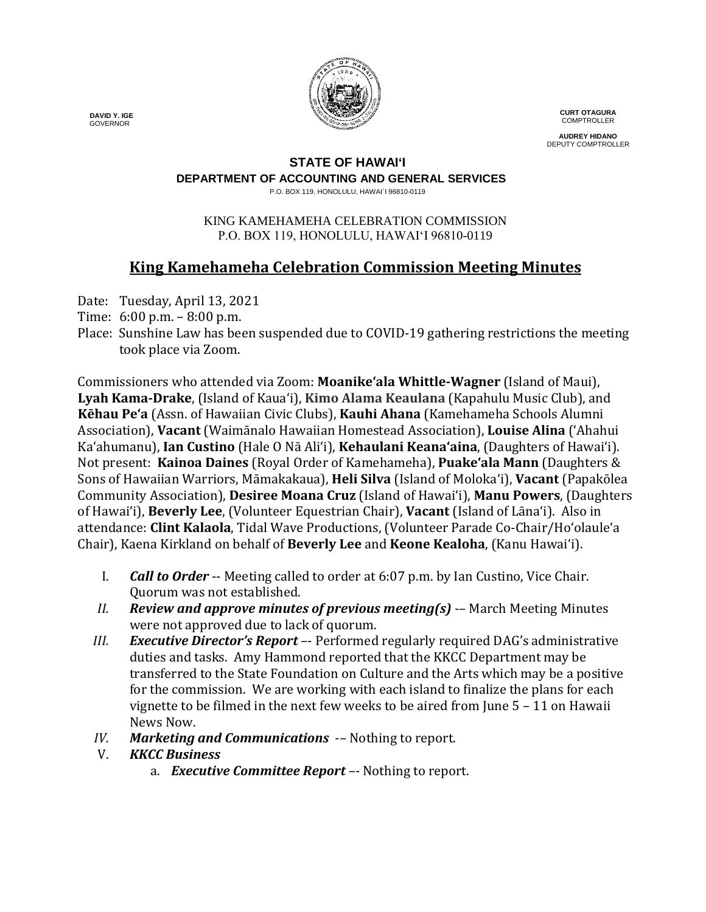

**CURT OTAGURA COMPTROLLER** 

**AUDREY HIDANO** DEPUTY COMPTROLLER

### **STATE OF HAWAI'I**

**DEPARTMENT OF ACCOUNTING AND GENERAL SERVICES**

P.O. BOX 119, HONOLULU, HAWAI`I 96810-0119

#### KING KAMEHAMEHA CELEBRATION COMMISSION P.O. BOX 119, HONOLULU, HAWAIʻI 96810-0119

# **King Kamehameha Celebration Commission Meeting Minutes**

Date: Tuesday, April 13, 2021

- Time: 6:00 p.m. 8:00 p.m.
- Place: Sunshine Law has been suspended due to COVID-19 gathering restrictions the meeting took place via Zoom.

Commissioners who attended via Zoom: **Moanike'ala Whittle-Wagner** (Island of Maui), **Lyah Kama-Drake**, (Island of Kaua'i), **Kimo Alama Keaulana** (Kapahulu Music Club), and **Kēhau Pe'a** (Assn. of Hawaiian Civic Clubs), **Kauhi Ahana** (Kamehameha Schools Alumni Association), **Vacant** (Waimānalo Hawaiian Homestead Association), **Louise Alina** ('Ahahui Ka'ahumanu), **Ian Custino** (Hale O Nā Ali'i), **Kehaulani Keana'aina**, (Daughters of Hawai'i). Not present: **Kainoa Daines** (Royal Order of Kamehameha), **Puake'ala Mann** (Daughters & Sons of Hawaiian Warriors, Māmakakaua), **Heli Silva** (Island of Molokaʻi), **Vacant** (Papakōlea Community Association), **Desiree Moana Cruz** (Island of Hawai'i), **Manu Powers**, (Daughters of Hawai'i), **Beverly Lee**, (Volunteer Equestrian Chair), **Vacant** (Island of Lāna'i). Also in attendance: **Clint Kalaola**, Tidal Wave Productions, (Volunteer Parade Co-Chair/Ho'olaule'a Chair), Kaena Kirkland on behalf of **Beverly Lee** and **Keone Kealoha**, (Kanu Hawai'i).

- I. *Call to Order* -- Meeting called to order at 6:07 p.m. by Ian Custino, Vice Chair. Quorum was not established.
- *II. Review and approve minutes of previous meeting(s)* -– March Meeting Minutes were not approved due to lack of quorum.
- *III. Executive Director's Report* –- Performed regularly required DAG's administrative duties and tasks. Amy Hammond reported that the KKCC Department may be transferred to the State Foundation on Culture and the Arts which may be a positive for the commission. We are working with each island to finalize the plans for each vignette to be filmed in the next few weeks to be aired from June 5 – 11 on Hawaii News Now.
- *IV. Marketing and Communications* -- Nothing to report.<br>V. *KKCC Business*

## V. *KKCC Business*

a. *Executive Committee Report –-* Nothing to report.

 **DAVID Y. IGE** GOVERNOR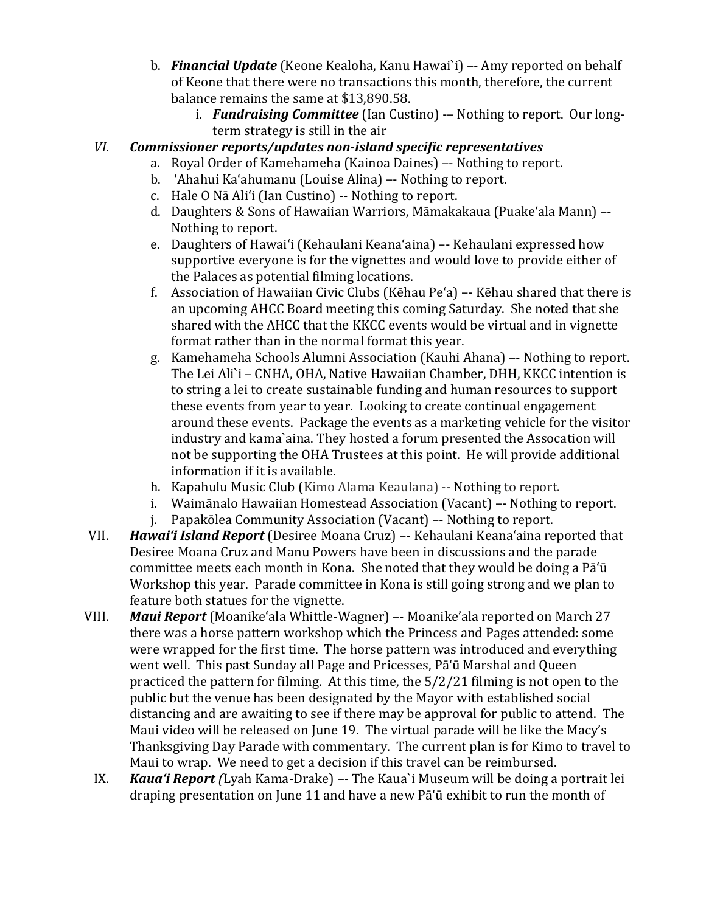- b. *Financial Update* (Keone Kealoha, Kanu Hawai`i) –- Amy reported on behalf of Keone that there were no transactions this month, therefore, the current balance remains the same at \$13,890.58.
	- i. *Fundraising Committee* (Ian Custino) -– Nothing to report. Our longterm strategy is still in the air

### *VI. Commissioner reports/updates non-island specific representatives*

- a. Royal Order of Kamehameha (Kainoa Daines) –- Nothing to report.
- b. 'Ahahui Ka'ahumanu (Louise Alina) –- Nothing to report.
- c. Hale O Nā Ali'i (Ian Custino) -- Nothing to report.
- d. Daughters & Sons of Hawaiian Warriors, Māmakakaua (Puake'ala Mann) –- Nothing to report.
- e. Daughters of Hawai'i (Kehaulani Keana'aina) –- Kehaulani expressed how supportive everyone is for the vignettes and would love to provide either of the Palaces as potential filming locations.
- f. Association of Hawaiian Civic Clubs (Kēhau Pe'a) –- Kēhau shared that there is an upcoming AHCC Board meeting this coming Saturday. She noted that she shared with the AHCC that the KKCC events would be virtual and in vignette format rather than in the normal format this year.
- g. Kamehameha Schools Alumni Association (Kauhi Ahana) –- Nothing to report. The Lei Ali`i – CNHA, OHA, Native Hawaiian Chamber, DHH, KKCC intention is to string a lei to create sustainable funding and human resources to support these events from year to year. Looking to create continual engagement around these events. Package the events as a marketing vehicle for the visitor industry and kama`aina. They hosted a forum presented the Assocation will not be supporting the OHA Trustees at this point. He will provide additional information if it is available.
- h. Kapahulu Music Club (Kimo Alama Keaulana) -- Nothing to report.<br>i. Waimānalo Hawaiian Homestead Association (Vacant) -- Nothing t
- i. Waimānalo Hawaiian Homestead Association (Vacant) -- Nothing to report.<br>i. Papakōlea Community Association (Vacant) -- Nothing to report.
- Papakōlea Community Association (Vacant) –- Nothing to report.
- VII. *Hawai'i Island Report* (Desiree Moana Cruz) –- Kehaulani Keana'aina reported that Desiree Moana Cruz and Manu Powers have been in discussions and the parade committee meets each month in Kona. She noted that they would be doing a Pā'ū Workshop this year. Parade committee in Kona is still going strong and we plan to feature both statues for the vignette.
- VIII. *Maui Report* (Moanikeʻala Whittle-Wagner) –- Moanike'ala reported on March 27 there was a horse pattern workshop which the Princess and Pages attended: some were wrapped for the first time. The horse pattern was introduced and everything went well. This past Sunday all Page and Pricesses, Pā'ū Marshal and Queen practiced the pattern for filming. At this time, the 5/2/21 filming is not open to the public but the venue has been designated by the Mayor with established social distancing and are awaiting to see if there may be approval for public to attend. The Maui video will be released on June 19. The virtual parade will be like the Macy's Thanksgiving Day Parade with commentary. The current plan is for Kimo to travel to Maui to wrap. We need to get a decision if this travel can be reimbursed.
	- IX. *Kaua'i Report (*Lyah Kama-Drake) *–-* The Kaua`i Museum will be doing a portrait lei draping presentation on June 11 and have a new Pā'ū exhibit to run the month of